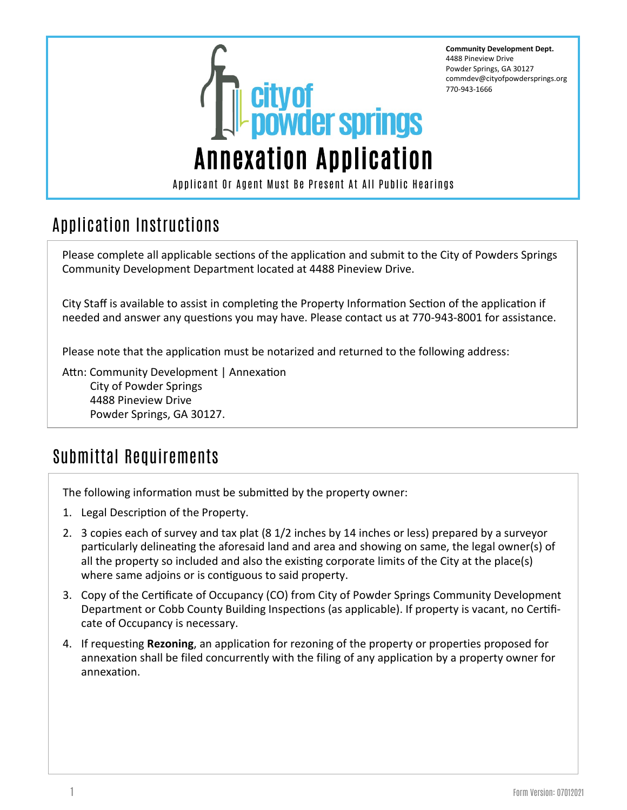

**Community Development Dept.** 4488 Pineview Drive Powder Springs, GA 30127 commdev@cityofpowdersprings.org 770-943-1666

## Application Instructions

Please complete all applicable sections of the application and submit to the City of Powders Springs Community Development Department located at 4488 Pineview Drive.

City Staff is available to assist in completing the Property Information Section of the application if needed and answer any questions you may have. Please contact us at 770-943-8001 for assistance.

Please note that the application must be notarized and returned to the following address:

Attn: Community Development | Annexation City of Powder Springs 4488 Pineview Drive Powder Springs, GA 30127.

## Submittal Requirements

The following information must be submitted by the property owner:

- 1. Legal Description of the Property.
- 2. 3 copies each of survey and tax plat (8 1/2 inches by 14 inches or less) prepared by a surveyor particularly delineating the aforesaid land and area and showing on same, the legal owner(s) of all the property so included and also the existing corporate limits of the City at the place(s) where same adjoins or is contiguous to said property.
- 3. Copy of the Certificate of Occupancy (CO) from City of Powder Springs Community Development Department or Cobb County Building Inspections (as applicable). If property is vacant, no Certificate of Occupancy is necessary.
- 4. If requesting **Rezoning**, an application for rezoning of the property or properties proposed for annexation shall be filed concurrently with the filing of any application by a property owner for annexation.